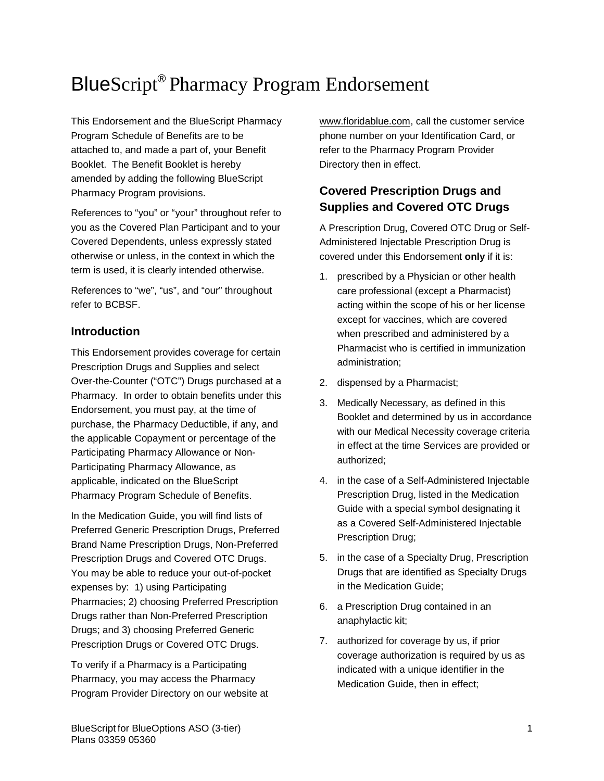# BlueScript® Pharmacy Program Endorsement

This Endorsement and the BlueScript Pharmacy Program Schedule of Benefits are to be attached to, and made a part of, your Benefit Booklet. The Benefit Booklet is hereby amended by adding the following BlueScript Pharmacy Program provisions.

References to "you" or "your" throughout refer to you as the Covered Plan Participant and to your Covered Dependents, unless expressly stated otherwise or unless, in the context in which the term is used, it is clearly intended otherwise.

References to "we", "us", and "our" throughout refer to BCBSF.

# **Introduction**

This Endorsement provides coverage for certain Prescription Drugs and Supplies and select Over-the-Counter ("OTC") Drugs purchased at a Pharmacy. In order to obtain benefits under this Endorsement, you must pay, at the time of purchase, the Pharmacy Deductible, if any, and the applicable Copayment or percentage of the Participating Pharmacy Allowance or Non-Participating Pharmacy Allowance, as applicable, indicated on the BlueScript Pharmacy Program Schedule of Benefits.

In the Medication Guide, you will find lists of Preferred Generic Prescription Drugs, Preferred Brand Name Prescription Drugs, Non-Preferred Prescription Drugs and Covered OTC Drugs. You may be able to reduce your out-of-pocket expenses by: 1) using Participating Pharmacies; 2) choosing Preferred Prescription Drugs rather than Non-Preferred Prescription Drugs; and 3) choosing Preferred Generic Prescription Drugs or Covered OTC Drugs.

To verify if a Pharmacy is a Participating Pharmacy, you may access the Pharmacy Program Provider Directory on our website at [www.floridablue.com,](http://www.bcbsfl.com/) call the customer service phone number on your Identification Card, or refer to the Pharmacy Program Provider Directory then in effect.

# **Covered Prescription Drugs and Supplies and Covered OTC Drugs**

A Prescription Drug, Covered OTC Drug or Self-Administered Injectable Prescription Drug is covered under this Endorsement **only** if it is:

- 1. prescribed by a Physician or other health care professional (except a Pharmacist) acting within the scope of his or her license except for vaccines, which are covered when prescribed and administered by a Pharmacist who is certified in immunization administration;
- 2. dispensed by a Pharmacist;
- 3. Medically Necessary, as defined in this Booklet and determined by us in accordance with our Medical Necessity coverage criteria in effect at the time Services are provided or authorized;
- 4. in the case of a Self-Administered Injectable Prescription Drug, listed in the Medication Guide with a special symbol designating it as a Covered Self-Administered Injectable Prescription Drug;
- 5. in the case of a Specialty Drug, Prescription Drugs that are identified as Specialty Drugs in the Medication Guide;
- 6. a Prescription Drug contained in an anaphylactic kit;
- 7. authorized for coverage by us, if prior coverage authorization is required by us as indicated with a unique identifier in the Medication Guide, then in effect;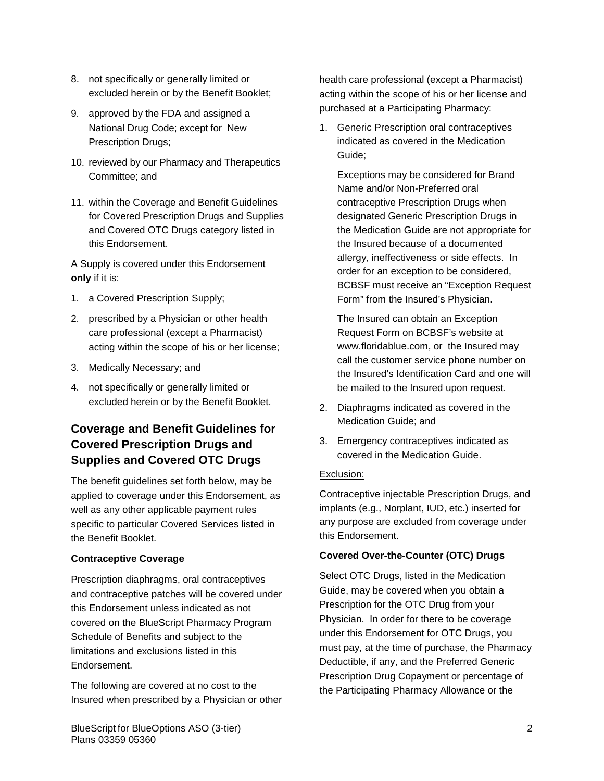- 8. not specifically or generally limited or excluded herein or by the Benefit Booklet;
- 9. approved by the FDA and assigned a National Drug Code; except for New Prescription Drugs;
- 10. reviewed by our Pharmacy and Therapeutics Committee; and
- 11. within the Coverage and Benefit Guidelines for Covered Prescription Drugs and Supplies and Covered OTC Drugs category listed in this Endorsement.

A Supply is covered under this Endorsement **only** if it is:

- 1. a Covered Prescription Supply;
- 2. prescribed by a Physician or other health care professional (except a Pharmacist) acting within the scope of his or her license;
- 3. Medically Necessary; and
- 4. not specifically or generally limited or excluded herein or by the Benefit Booklet.

# **Coverage and Benefit Guidelines for Covered Prescription Drugs and Supplies and Covered OTC Drugs**

The benefit guidelines set forth below, may be applied to coverage under this Endorsement, as well as any other applicable payment rules specific to particular Covered Services listed in the Benefit Booklet.

## **Contraceptive Coverage**

Prescription diaphragms, oral contraceptives and contraceptive patches will be covered under this Endorsement unless indicated as not covered on the BlueScript Pharmacy Program Schedule of Benefits and subject to the limitations and exclusions listed in this Endorsement.

The following are covered at no cost to the Insured when prescribed by a Physician or other health care professional (except a Pharmacist) acting within the scope of his or her license and purchased at a Participating Pharmacy:

1. Generic Prescription oral contraceptives indicated as covered in the Medication Guide;

Exceptions may be considered for Brand Name and/or Non-Preferred oral contraceptive Prescription Drugs when designated Generic Prescription Drugs in the Medication Guide are not appropriate for the Insured because of a documented allergy, ineffectiveness or side effects. In order for an exception to be considered, BCBSF must receive an "Exception Request Form" from the Insured's Physician.

The Insured can obtain an Exception Request Form on BCBSF's website at www.floridablue.com, or the Insured may call the customer service phone number on the Insured's Identification Card and one will be mailed to the Insured upon request.

- 2. Diaphragms indicated as covered in the Medication Guide; and
- 3. Emergency contraceptives indicated as covered in the Medication Guide.

#### Exclusion:

Contraceptive injectable Prescription Drugs, and implants (e.g., Norplant, IUD, etc.) inserted for any purpose are excluded from coverage under this Endorsement.

## **Covered Over-the-Counter (OTC) Drugs**

Select OTC Drugs, listed in the Medication Guide, may be covered when you obtain a Prescription for the OTC Drug from your Physician. In order for there to be coverage under this Endorsement for OTC Drugs, you must pay, at the time of purchase, the Pharmacy Deductible, if any, and the Preferred Generic Prescription Drug Copayment or percentage of the Participating Pharmacy Allowance or the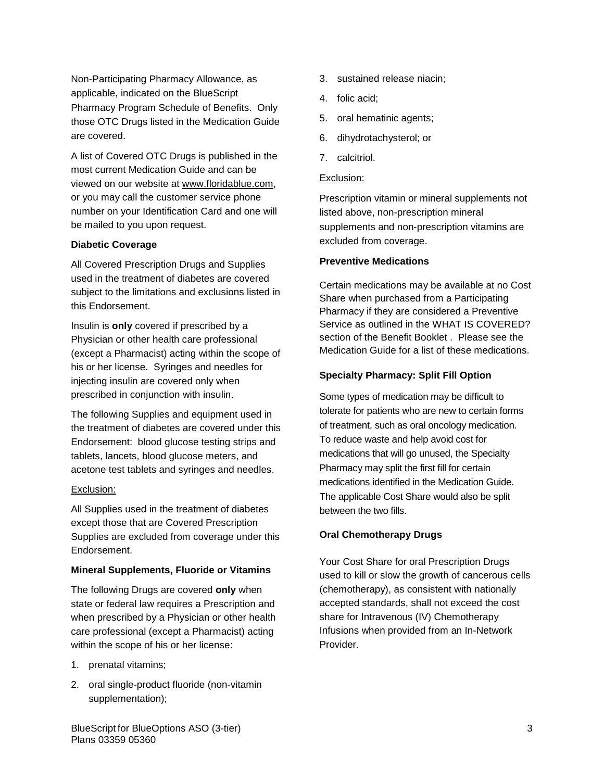Non-Participating Pharmacy Allowance, as applicable, indicated on the BlueScript Pharmacy Program Schedule of Benefits. Only those OTC Drugs listed in the Medication Guide are covered.

A list of Covered OTC Drugs is published in the most current Medication Guide and can be viewed on our website at www.floridablue.com, or you may call the customer service phone number on your Identification Card and one will be mailed to you upon request.

#### **Diabetic Coverage**

All Covered Prescription Drugs and Supplies used in the treatment of diabetes are covered subject to the limitations and exclusions listed in this Endorsement.

Insulin is **only** covered if prescribed by a Physician or other health care professional (except a Pharmacist) acting within the scope of his or her license. Syringes and needles for injecting insulin are covered only when prescribed in conjunction with insulin.

The following Supplies and equipment used in the treatment of diabetes are covered under this Endorsement: blood glucose testing strips and tablets, lancets, blood glucose meters, and acetone test tablets and syringes and needles.

#### Exclusion:

All Supplies used in the treatment of diabetes except those that are Covered Prescription Supplies are excluded from coverage under this Endorsement.

#### **Mineral Supplements, Fluoride or Vitamins**

The following Drugs are covered **only** when state or federal law requires a Prescription and when prescribed by a Physician or other health care professional (except a Pharmacist) acting within the scope of his or her license:

- 1. prenatal vitamins;
- 2. oral single-product fluoride (non-vitamin supplementation);
- 3. sustained release niacin;
- 4. folic acid;
- 5. oral hematinic agents;
- 6. dihydrotachysterol; or
- 7. calcitriol.

### Exclusion:

Prescription vitamin or mineral supplements not listed above, non-prescription mineral supplements and non-prescription vitamins are excluded from coverage.

#### **Preventive Medications**

Certain medications may be available at no Cost Share when purchased from a Participating Pharmacy if they are considered a Preventive Service as outlined in the WHAT IS COVERED? section of the Benefit Booklet . Please see the Medication Guide for a list of these medications.

#### **Specialty Pharmacy: Split Fill Option**

Some types of medication may be difficult to tolerate for patients who are new to certain forms of treatment, such as oral oncology medication. To reduce waste and help avoid cost for medications that will go unused, the Specialty Pharmacy may split the first fill for certain medications identified in the Medication Guide. The applicable Cost Share would also be split between the two fills.

#### **Oral Chemotherapy Drugs**

Your Cost Share for oral Prescription Drugs used to kill or slow the growth of cancerous cells (chemotherapy), as consistent with nationally accepted standards, shall not exceed the cost share for Intravenous (IV) Chemotherapy Infusions when provided from an In-Network Provider.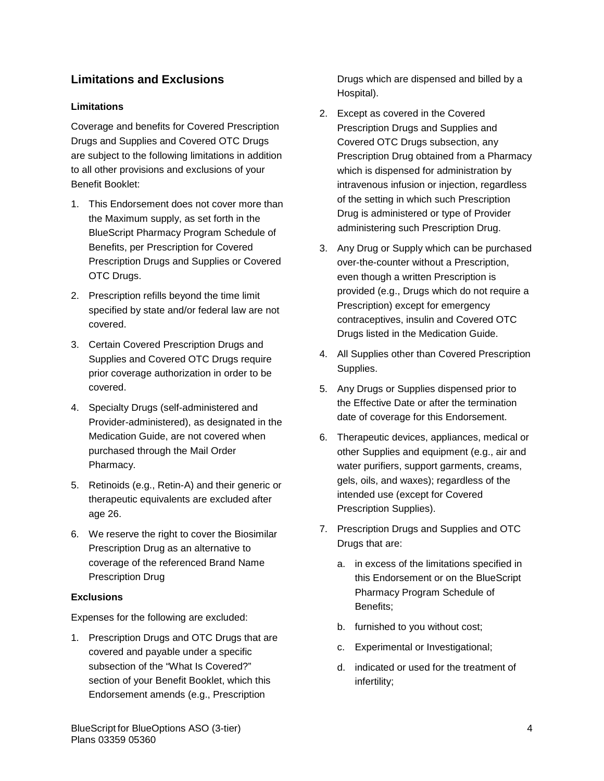# **Limitations and Exclusions**

# **Limitations**

Coverage and benefits for Covered Prescription Drugs and Supplies and Covered OTC Drugs are subject to the following limitations in addition to all other provisions and exclusions of your Benefit Booklet:

- 1. This Endorsement does not cover more than the Maximum supply, as set forth in the BlueScript Pharmacy Program Schedule of Benefits, per Prescription for Covered Prescription Drugs and Supplies or Covered OTC Drugs.
- 2. Prescription refills beyond the time limit specified by state and/or federal law are not covered.
- 3. Certain Covered Prescription Drugs and Supplies and Covered OTC Drugs require prior coverage authorization in order to be covered.
- 4. Specialty Drugs (self-administered and Provider-administered), as designated in the Medication Guide, are not covered when purchased through the Mail Order Pharmacy.
- 5. Retinoids (e.g., Retin-A) and their generic or therapeutic equivalents are excluded after age 26.
- 6. We reserve the right to cover the Biosimilar Prescription Drug as an alternative to coverage of the referenced Brand Name Prescription Drug

## **Exclusions**

Expenses for the following are excluded:

1. Prescription Drugs and OTC Drugs that are covered and payable under a specific subsection of the "What Is Covered?" section of your Benefit Booklet, which this Endorsement amends (e.g., Prescription

Drugs which are dispensed and billed by a Hospital).

- 2. Except as covered in the Covered Prescription Drugs and Supplies and Covered OTC Drugs subsection, any Prescription Drug obtained from a Pharmacy which is dispensed for administration by intravenous infusion or injection, regardless of the setting in which such Prescription Drug is administered or type of Provider administering such Prescription Drug.
- 3. Any Drug or Supply which can be purchased over-the-counter without a Prescription, even though a written Prescription is provided (e.g., Drugs which do not require a Prescription) except for emergency contraceptives, insulin and Covered OTC Drugs listed in the Medication Guide.
- 4. All Supplies other than Covered Prescription Supplies.
- 5. Any Drugs or Supplies dispensed prior to the Effective Date or after the termination date of coverage for this Endorsement.
- 6. Therapeutic devices, appliances, medical or other Supplies and equipment (e.g., air and water purifiers, support garments, creams, gels, oils, and waxes); regardless of the intended use (except for Covered Prescription Supplies).
- 7. Prescription Drugs and Supplies and OTC Drugs that are:
	- a. in excess of the limitations specified in this Endorsement or on the BlueScript Pharmacy Program Schedule of Benefits;
	- b. furnished to you without cost;
	- c. Experimental or Investigational;
	- d. indicated or used for the treatment of infertility;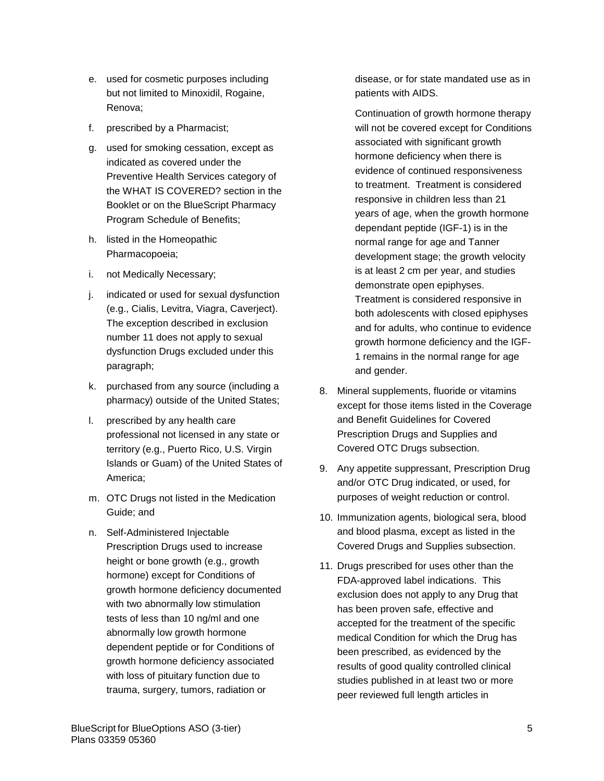- e. used for cosmetic purposes including but not limited to Minoxidil, Rogaine, Renova;
- f. prescribed by a Pharmacist;
- g. used for smoking cessation, except as indicated as covered under the Preventive Health Services category of the WHAT IS COVERED? section in the Booklet or on the BlueScript Pharmacy Program Schedule of Benefits;
- h. listed in the Homeopathic Pharmacopoeia;
- i. not Medically Necessary;
- j. indicated or used for sexual dysfunction (e.g., Cialis, Levitra, Viagra, Caverject). The exception described in exclusion number 11 does not apply to sexual dysfunction Drugs excluded under this paragraph;
- k. purchased from any source (including a pharmacy) outside of the United States;
- l. prescribed by any health care professional not licensed in any state or territory (e.g., Puerto Rico, U.S. Virgin Islands or Guam) of the United States of America;
- m. OTC Drugs not listed in the Medication Guide; and
- n. Self-Administered Injectable Prescription Drugs used to increase height or bone growth (e.g., growth hormone) except for Conditions of growth hormone deficiency documented with two abnormally low stimulation tests of less than 10 ng/ml and one abnormally low growth hormone dependent peptide or for Conditions of growth hormone deficiency associated with loss of pituitary function due to trauma, surgery, tumors, radiation or

disease, or for state mandated use as in patients with AIDS.

Continuation of growth hormone therapy will not be covered except for Conditions associated with significant growth hormone deficiency when there is evidence of continued responsiveness to treatment. Treatment is considered responsive in children less than 21 years of age, when the growth hormone dependant peptide (IGF-1) is in the normal range for age and Tanner development stage; the growth velocity is at least 2 cm per year, and studies demonstrate open epiphyses. Treatment is considered responsive in both adolescents with closed epiphyses and for adults, who continue to evidence growth hormone deficiency and the IGF-1 remains in the normal range for age

8. Mineral supplements, fluoride or vitamins except for those items listed in the Coverage and Benefit Guidelines for Covered Prescription Drugs and Supplies and Covered OTC Drugs subsection.

and gender.

- 9. Any appetite suppressant, Prescription Drug and/or OTC Drug indicated, or used, for purposes of weight reduction or control.
- 10. Immunization agents, biological sera, blood and blood plasma, except as listed in the Covered Drugs and Supplies subsection.
- 11. Drugs prescribed for uses other than the FDA-approved label indications. This exclusion does not apply to any Drug that has been proven safe, effective and accepted for the treatment of the specific medical Condition for which the Drug has been prescribed, as evidenced by the results of good quality controlled clinical studies published in at least two or more peer reviewed full length articles in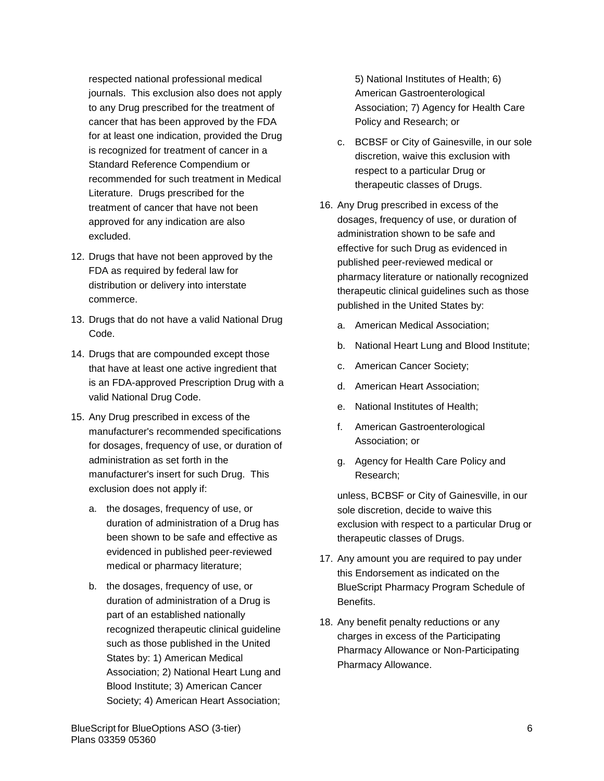respected national professional medical journals. This exclusion also does not apply to any Drug prescribed for the treatment of cancer that has been approved by the FDA for at least one indication, provided the Drug is recognized for treatment of cancer in a Standard Reference Compendium or recommended for such treatment in Medical Literature. Drugs prescribed for the treatment of cancer that have not been approved for any indication are also excluded.

- 12. Drugs that have not been approved by the FDA as required by federal law for distribution or delivery into interstate commerce.
- 13. Drugs that do not have a valid National Drug Code.
- 14. Drugs that are compounded except those that have at least one active ingredient that is an FDA-approved Prescription Drug with a valid National Drug Code.
- 15. Any Drug prescribed in excess of the manufacturer's recommended specifications for dosages, frequency of use, or duration of administration as set forth in the manufacturer's insert for such Drug. This exclusion does not apply if:
	- a. the dosages, frequency of use, or duration of administration of a Drug has been shown to be safe and effective as evidenced in published peer-reviewed medical or pharmacy literature;
	- b. the dosages, frequency of use, or duration of administration of a Drug is part of an established nationally recognized therapeutic clinical guideline such as those published in the United States by: 1) American Medical Association; 2) National Heart Lung and Blood Institute; 3) American Cancer Society; 4) American Heart Association;

5) National Institutes of Health; 6) American Gastroenterological Association; 7) Agency for Health Care Policy and Research; or

- c. BCBSF or City of Gainesville, in our sole discretion, waive this exclusion with respect to a particular Drug or therapeutic classes of Drugs.
- 16. Any Drug prescribed in excess of the dosages, frequency of use, or duration of administration shown to be safe and effective for such Drug as evidenced in published peer-reviewed medical or pharmacy literature or nationally recognized therapeutic clinical guidelines such as those published in the United States by:
	- a. American Medical Association;
	- b. National Heart Lung and Blood Institute;
	- c. American Cancer Society;
	- d. American Heart Association;
	- e. National Institutes of Health;
	- f. American Gastroenterological Association; or
	- g. Agency for Health Care Policy and Research;

unless, BCBSF or City of Gainesville, in our sole discretion, decide to waive this exclusion with respect to a particular Drug or therapeutic classes of Drugs.

- 17. Any amount you are required to pay under this Endorsement as indicated on the BlueScript Pharmacy Program Schedule of Benefits.
- 18. Any benefit penalty reductions or any charges in excess of the Participating Pharmacy Allowance or Non-Participating Pharmacy Allowance.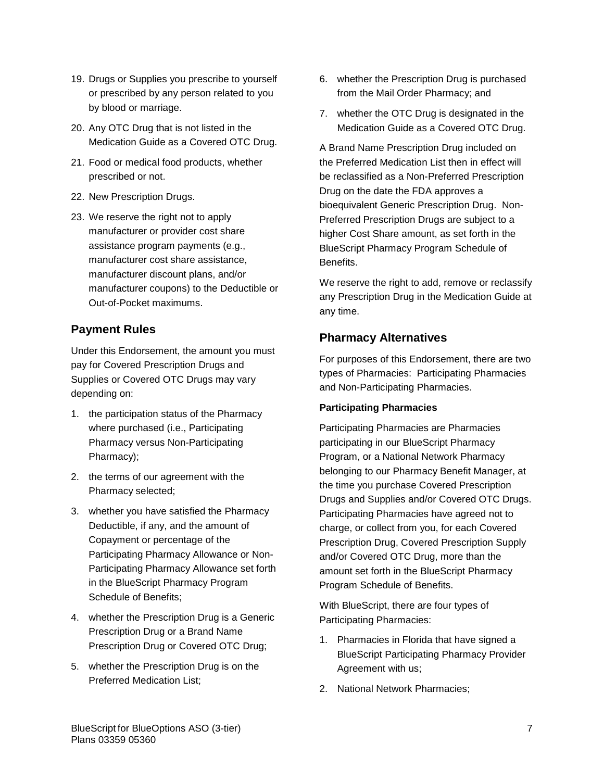- 19. Drugs or Supplies you prescribe to yourself or prescribed by any person related to you by blood or marriage.
- 20. Any OTC Drug that is not listed in the Medication Guide as a Covered OTC Drug.
- 21. Food or medical food products, whether prescribed or not.
- 22. New Prescription Drugs.
- 23. We reserve the right not to apply manufacturer or provider cost share assistance program payments (e.g., manufacturer cost share assistance, manufacturer discount plans, and/or manufacturer coupons) to the Deductible or Out-of-Pocket maximums.

# **Payment Rules**

Under this Endorsement, the amount you must pay for Covered Prescription Drugs and Supplies or Covered OTC Drugs may vary depending on:

- 1. the participation status of the Pharmacy where purchased (i.e., Participating Pharmacy versus Non-Participating Pharmacy);
- 2. the terms of our agreement with the Pharmacy selected;
- 3. whether you have satisfied the Pharmacy Deductible, if any, and the amount of Copayment or percentage of the Participating Pharmacy Allowance or Non-Participating Pharmacy Allowance set forth in the BlueScript Pharmacy Program Schedule of Benefits;
- 4. whether the Prescription Drug is a Generic Prescription Drug or a Brand Name Prescription Drug or Covered OTC Drug;
- 5. whether the Prescription Drug is on the Preferred Medication List;
- 6. whether the Prescription Drug is purchased from the Mail Order Pharmacy; and
- 7. whether the OTC Drug is designated in the Medication Guide as a Covered OTC Drug.

A Brand Name Prescription Drug included on the Preferred Medication List then in effect will be reclassified as a Non-Preferred Prescription Drug on the date the FDA approves a bioequivalent Generic Prescription Drug. Non-Preferred Prescription Drugs are subject to a higher Cost Share amount, as set forth in the BlueScript Pharmacy Program Schedule of Benefits.

We reserve the right to add, remove or reclassify any Prescription Drug in the Medication Guide at any time.

# **Pharmacy Alternatives**

For purposes of this Endorsement, there are two types of Pharmacies: Participating Pharmacies and Non-Participating Pharmacies.

## **Participating Pharmacies**

Participating Pharmacies are Pharmacies participating in our BlueScript Pharmacy Program, or a National Network Pharmacy belonging to our Pharmacy Benefit Manager, at the time you purchase Covered Prescription Drugs and Supplies and/or Covered OTC Drugs. Participating Pharmacies have agreed not to charge, or collect from you, for each Covered Prescription Drug, Covered Prescription Supply and/or Covered OTC Drug, more than the amount set forth in the BlueScript Pharmacy Program Schedule of Benefits.

With BlueScript, there are four types of Participating Pharmacies:

- 1. Pharmacies in Florida that have signed a BlueScript Participating Pharmacy Provider Agreement with us;
- 2. National Network Pharmacies;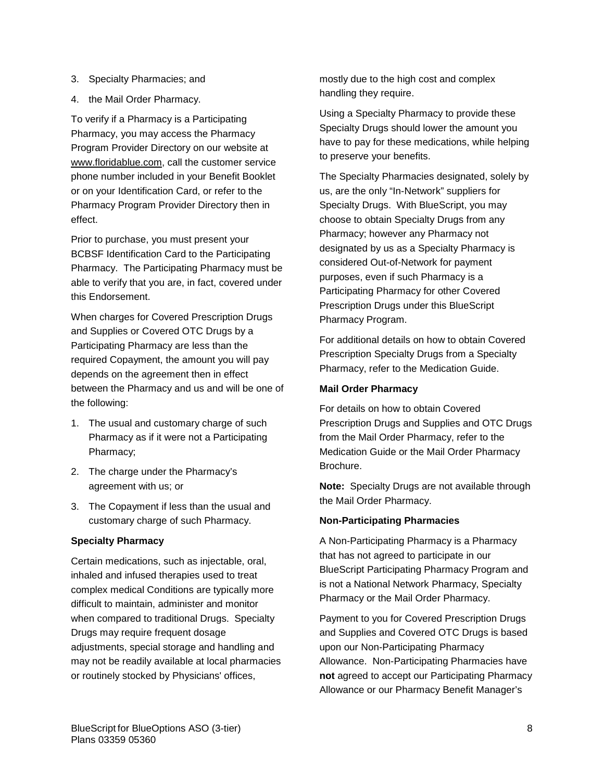- 3. Specialty Pharmacies; and
- 4. the Mail Order Pharmacy.

To verify if a Pharmacy is a Participating Pharmacy, you may access the Pharmacy Program Provider Directory on our website at [www.floridablue.com,](http://www.bcbsfl.com/) call the customer service phone number included in your Benefit Booklet or on your Identification Card, or refer to the Pharmacy Program Provider Directory then in effect.

Prior to purchase, you must present your BCBSF Identification Card to the Participating Pharmacy. The Participating Pharmacy must be able to verify that you are, in fact, covered under this Endorsement.

When charges for Covered Prescription Drugs and Supplies or Covered OTC Drugs by a Participating Pharmacy are less than the required Copayment, the amount you will pay depends on the agreement then in effect between the Pharmacy and us and will be one of the following:

- 1. The usual and customary charge of such Pharmacy as if it were not a Participating Pharmacy;
- 2. The charge under the Pharmacy's agreement with us; or
- 3. The Copayment if less than the usual and customary charge of such Pharmacy.

## **Specialty Pharmacy**

Certain medications, such as injectable, oral, inhaled and infused therapies used to treat complex medical Conditions are typically more difficult to maintain, administer and monitor when compared to traditional Drugs. Specialty Drugs may require frequent dosage adjustments, special storage and handling and may not be readily available at local pharmacies or routinely stocked by Physicians' offices,

mostly due to the high cost and complex handling they require.

Using a Specialty Pharmacy to provide these Specialty Drugs should lower the amount you have to pay for these medications, while helping to preserve your benefits.

The Specialty Pharmacies designated, solely by us, are the only "In-Network" suppliers for Specialty Drugs. With BlueScript, you may choose to obtain Specialty Drugs from any Pharmacy; however any Pharmacy not designated by us as a Specialty Pharmacy is considered Out-of-Network for payment purposes, even if such Pharmacy is a Participating Pharmacy for other Covered Prescription Drugs under this BlueScript Pharmacy Program.

For additional details on how to obtain Covered Prescription Specialty Drugs from a Specialty Pharmacy, refer to the Medication Guide.

### **Mail Order Pharmacy**

For details on how to obtain Covered Prescription Drugs and Supplies and OTC Drugs from the Mail Order Pharmacy, refer to the Medication Guide or the Mail Order Pharmacy Brochure.

**Note:** Specialty Drugs are not available through the Mail Order Pharmacy.

## **Non-Participating Pharmacies**

A Non-Participating Pharmacy is a Pharmacy that has not agreed to participate in our BlueScript Participating Pharmacy Program and is not a National Network Pharmacy, Specialty Pharmacy or the Mail Order Pharmacy.

Payment to you for Covered Prescription Drugs and Supplies and Covered OTC Drugs is based upon our Non-Participating Pharmacy Allowance. Non-Participating Pharmacies have **not** agreed to accept our Participating Pharmacy Allowance or our Pharmacy Benefit Manager's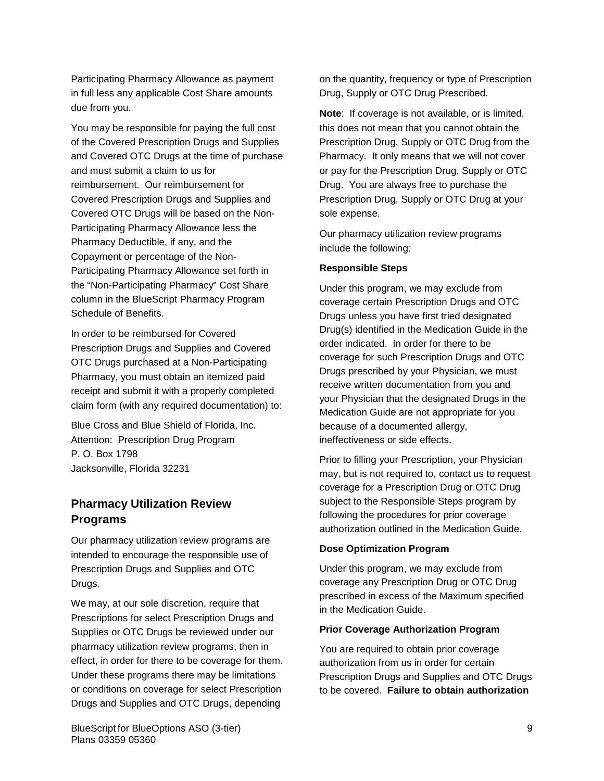Participating Pharmacy Allowance as payment in full less any applicable Cost Share amounts due from you.

You may be responsible for paying the full cost of the Covered Prescription Drugs and Supplies and Covered OTC Drugs at the time of purchase and must submit a claim to us for reimbursement. Our reimbursement for Covered Prescription Drugs and Supplies and Covered OTC Drugs will be based on the Non-Participating Pharmacy Allowance less the Pharmacy Deductible, if any, and the Copayment or percentage of the Non-Participating Pharmacy Allowance set forth in the "Non-Participating Pharmacy" Cost Share column in the BlueScript Pharmacy Program Schedule of Benefits.

In order to be reimbursed for Covered Prescription Drugs and Supplies and Covered OTC Drugs purchased at a Non-Participating Pharmacy, you must obtain an itemized paid receipt and submit it with a properly completed claim form (with any required documentation) to:

Blue Cross and Blue Shield of Florida, Inc. Attention: Prescription Drug Program P. O. Box 1798 Jacksonville, Florida 32231

# **Pharmacy Utilization Review Programs**

Our pharmacy utilization review programs are intended to encourage the responsible use of Prescription Drugs and Supplies and OTC Drugs.

We may, at our sole discretion, require that Prescriptions for select Prescription Drugs and Supplies or OTC Drugs be reviewed under our pharmacy utilization review programs, then in effect, in order for there to be coverage for them. Under these programs there may be limitations or conditions on coverage for select Prescription Drugs and Supplies and OTC Drugs, depending

on the quantity, frequency or type of Prescription Drug, Supply or OTC Drug Prescribed.

**Note**: If coverage is not available, or is limited, this does not mean that you cannot obtain the Prescription Drug, Supply or OTC Drug from the Pharmacy. It only means that we will not cover or pay for the Prescription Drug, Supply or OTC Drug. You are always free to purchase the Prescription Drug, Supply or OTC Drug at your sole expense.

Our pharmacy utilization review programs include the following:

#### **Responsible Steps**

Under this program, we may exclude from coverage certain Prescription Drugs and OTC Drugs unless you have first tried designated Drug(s) identified in the Medication Guide in the order indicated. In order for there to be coverage for such Prescription Drugs and OTC Drugs prescribed by your Physician, we must receive written documentation from you and your Physician that the designated Drugs in the Medication Guide are not appropriate for you because of a documented allergy, ineffectiveness or side effects.

Prior to filling your Prescription, your Physician may, but is not required to, contact us to request coverage for a Prescription Drug or OTC Drug subject to the Responsible Steps program by following the procedures for prior coverage authorization outlined in the Medication Guide.

## **Dose Optimization Program**

Under this program, we may exclude from coverage any Prescription Drug or OTC Drug prescribed in excess of the Maximum specified in the Medication Guide.

## **Prior Coverage Authorization Program**

You are required to obtain prior coverage authorization from us in order for certain Prescription Drugs and Supplies and OTC Drugs to be covered. **Failure to obtain authorization**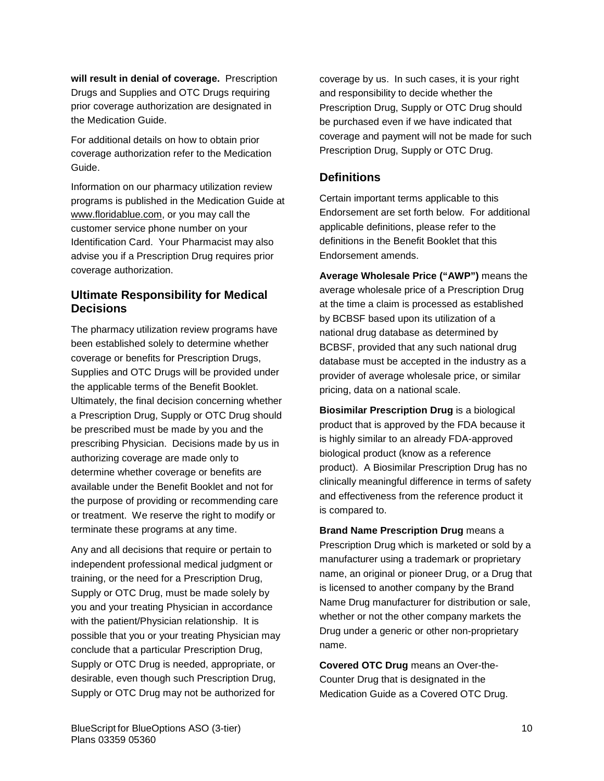**will result in denial of coverage.** Prescription Drugs and Supplies and OTC Drugs requiring prior coverage authorization are designated in the Medication Guide.

For additional details on how to obtain prior coverage authorization refer to the Medication Guide.

Information on our pharmacy utilization review programs is published in the Medication Guide at www.floridablue.com, or you may call the customer service phone number on your Identification Card. Your Pharmacist may also advise you if a Prescription Drug requires prior coverage authorization.

# **Ultimate Responsibility for Medical Decisions**

The pharmacy utilization review programs have been established solely to determine whether coverage or benefits for Prescription Drugs, Supplies and OTC Drugs will be provided under the applicable terms of the Benefit Booklet. Ultimately, the final decision concerning whether a Prescription Drug, Supply or OTC Drug should be prescribed must be made by you and the prescribing Physician. Decisions made by us in authorizing coverage are made only to determine whether coverage or benefits are available under the Benefit Booklet and not for the purpose of providing or recommending care or treatment. We reserve the right to modify or terminate these programs at any time.

Any and all decisions that require or pertain to independent professional medical judgment or training, or the need for a Prescription Drug, Supply or OTC Drug, must be made solely by you and your treating Physician in accordance with the patient/Physician relationship. It is possible that you or your treating Physician may conclude that a particular Prescription Drug, Supply or OTC Drug is needed, appropriate, or desirable, even though such Prescription Drug, Supply or OTC Drug may not be authorized for

coverage by us. In such cases, it is your right and responsibility to decide whether the Prescription Drug, Supply or OTC Drug should be purchased even if we have indicated that coverage and payment will not be made for such Prescription Drug, Supply or OTC Drug.

# **Definitions**

Certain important terms applicable to this Endorsement are set forth below. For additional applicable definitions, please refer to the definitions in the Benefit Booklet that this Endorsement amends.

**Average Wholesale Price ("AWP")** means the average wholesale price of a Prescription Drug at the time a claim is processed as established by BCBSF based upon its utilization of a national drug database as determined by BCBSF, provided that any such national drug database must be accepted in the industry as a provider of average wholesale price, or similar pricing, data on a national scale.

**Biosimilar Prescription Drug** is a biological product that is approved by the FDA because it is highly similar to an already FDA-approved biological product (know as a reference product). A Biosimilar Prescription Drug has no clinically meaningful difference in terms of safety and effectiveness from the reference product it is compared to.

**Brand Name Prescription Drug** means a Prescription Drug which is marketed or sold by a manufacturer using a trademark or proprietary name, an original or pioneer Drug, or a Drug that is licensed to another company by the Brand Name Drug manufacturer for distribution or sale, whether or not the other company markets the Drug under a generic or other non-proprietary name.

**Covered OTC Drug** means an Over-the-Counter Drug that is designated in the Medication Guide as a Covered OTC Drug.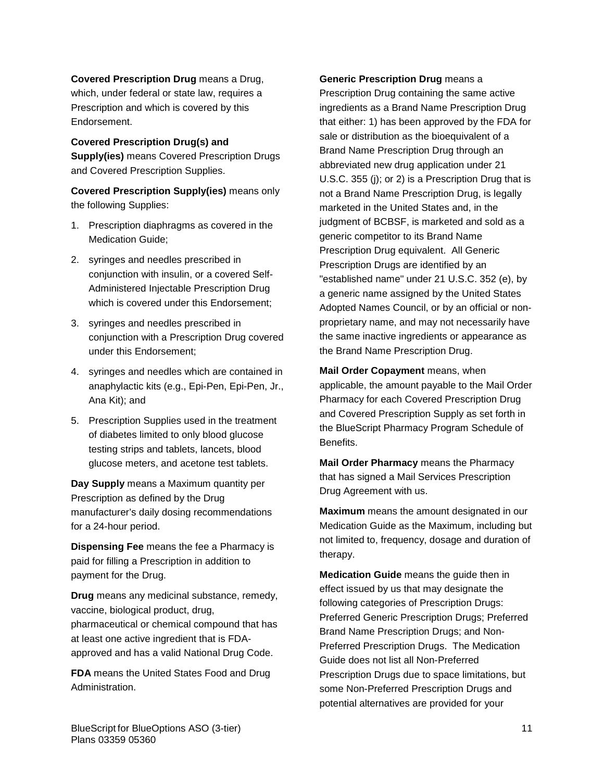**Covered Prescription Drug** means a Drug, which, under federal or state law, requires a Prescription and which is covered by this Endorsement.

**Covered Prescription Drug(s) and Supply(ies)** means Covered Prescription Drugs and Covered Prescription Supplies.

**Covered Prescription Supply(ies)** means only the following Supplies:

- 1. Prescription diaphragms as covered in the Medication Guide;
- 2. syringes and needles prescribed in conjunction with insulin, or a covered Self-Administered Injectable Prescription Drug which is covered under this Endorsement;
- 3. syringes and needles prescribed in conjunction with a Prescription Drug covered under this Endorsement;
- 4. syringes and needles which are contained in anaphylactic kits (e.g., Epi-Pen, Epi-Pen, Jr., Ana Kit); and
- 5. Prescription Supplies used in the treatment of diabetes limited to only blood glucose testing strips and tablets, lancets, blood glucose meters, and acetone test tablets.

**Day Supply** means a Maximum quantity per Prescription as defined by the Drug manufacturer's daily dosing recommendations for a 24-hour period.

**Dispensing Fee** means the fee a Pharmacy is paid for filling a Prescription in addition to payment for the Drug.

**Drug** means any medicinal substance, remedy, vaccine, biological product, drug, pharmaceutical or chemical compound that has at least one active ingredient that is FDAapproved and has a valid National Drug Code.

**FDA** means the United States Food and Drug Administration.

**Generic Prescription Drug** means a Prescription Drug containing the same active ingredients as a Brand Name Prescription Drug that either: 1) has been approved by the FDA for sale or distribution as the bioequivalent of a Brand Name Prescription Drug through an abbreviated new drug application under 21 U.S.C. 355 (j); or 2) is a Prescription Drug that is not a Brand Name Prescription Drug, is legally marketed in the United States and, in the judgment of BCBSF, is marketed and sold as a generic competitor to its Brand Name Prescription Drug equivalent. All Generic Prescription Drugs are identified by an "established name" under 21 U.S.C. 352 (e), by a generic name assigned by the United States Adopted Names Council, or by an official or nonproprietary name, and may not necessarily have the same inactive ingredients or appearance as the Brand Name Prescription Drug.

**Mail Order Copayment** means, when applicable, the amount payable to the Mail Order Pharmacy for each Covered Prescription Drug and Covered Prescription Supply as set forth in the BlueScript Pharmacy Program Schedule of Benefits.

**Mail Order Pharmacy** means the Pharmacy that has signed a Mail Services Prescription Drug Agreement with us.

**Maximum** means the amount designated in our Medication Guide as the Maximum, including but not limited to, frequency, dosage and duration of therapy.

**Medication Guide** means the guide then in effect issued by us that may designate the following categories of Prescription Drugs: Preferred Generic Prescription Drugs; Preferred Brand Name Prescription Drugs; and Non-Preferred Prescription Drugs. The Medication Guide does not list all Non-Preferred Prescription Drugs due to space limitations, but some Non-Preferred Prescription Drugs and potential alternatives are provided for your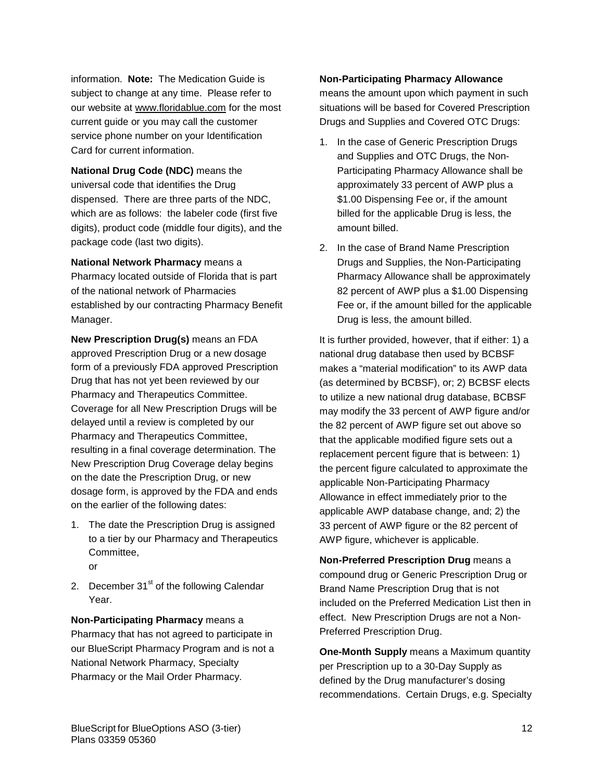information. **Note:** The Medication Guide is subject to change at any time. Please refer to our website at [www.floridablue.com](http://www.bcbsfl.com/) for the most current guide or you may call the customer service phone number on your Identification Card for current information.

**National Drug Code (NDC)** means the universal code that identifies the Drug dispensed. There are three parts of the NDC, which are as follows: the labeler code (first five digits), product code (middle four digits), and the package code (last two digits).

**National Network Pharmacy** means a Pharmacy located outside of Florida that is part of the national network of Pharmacies established by our contracting Pharmacy Benefit Manager.

**New Prescription Drug(s)** means an FDA approved Prescription Drug or a new dosage form of a previously FDA approved Prescription Drug that has not yet been reviewed by our Pharmacy and Therapeutics Committee. Coverage for all New Prescription Drugs will be delayed until a review is completed by our Pharmacy and Therapeutics Committee, resulting in a final coverage determination. The New Prescription Drug Coverage delay begins on the date the Prescription Drug, or new dosage form, is approved by the FDA and ends on the earlier of the following dates:

- 1. The date the Prescription Drug is assigned to a tier by our Pharmacy and Therapeutics Committee, or
- 2. December  $31<sup>st</sup>$  of the following Calendar Year.

**Non-Participating Pharmacy** means a Pharmacy that has not agreed to participate in our BlueScript Pharmacy Program and is not a National Network Pharmacy, Specialty Pharmacy or the Mail Order Pharmacy.

## **Non-Participating Pharmacy Allowance**

means the amount upon which payment in such situations will be based for Covered Prescription Drugs and Supplies and Covered OTC Drugs:

- 1. In the case of Generic Prescription Drugs and Supplies and OTC Drugs, the Non-Participating Pharmacy Allowance shall be approximately 33 percent of AWP plus a \$1.00 Dispensing Fee or, if the amount billed for the applicable Drug is less, the amount billed.
- 2. In the case of Brand Name Prescription Drugs and Supplies, the Non-Participating Pharmacy Allowance shall be approximately 82 percent of AWP plus a \$1.00 Dispensing Fee or, if the amount billed for the applicable Drug is less, the amount billed.

It is further provided, however, that if either: 1) a national drug database then used by BCBSF makes a "material modification" to its AWP data (as determined by BCBSF), or; 2) BCBSF elects to utilize a new national drug database, BCBSF may modify the 33 percent of AWP figure and/or the 82 percent of AWP figure set out above so that the applicable modified figure sets out a replacement percent figure that is between: 1) the percent figure calculated to approximate the applicable Non-Participating Pharmacy Allowance in effect immediately prior to the applicable AWP database change, and; 2) the 33 percent of AWP figure or the 82 percent of AWP figure, whichever is applicable.

**Non-Preferred Prescription Drug** means a compound drug or Generic Prescription Drug or Brand Name Prescription Drug that is not included on the Preferred Medication List then in effect.New Prescription Drugs are not a Non-Preferred Prescription Drug.

**One-Month Supply** means a Maximum quantity per Prescription up to a 30-Day Supply as defined by the Drug manufacturer's dosing recommendations. Certain Drugs, e.g. Specialty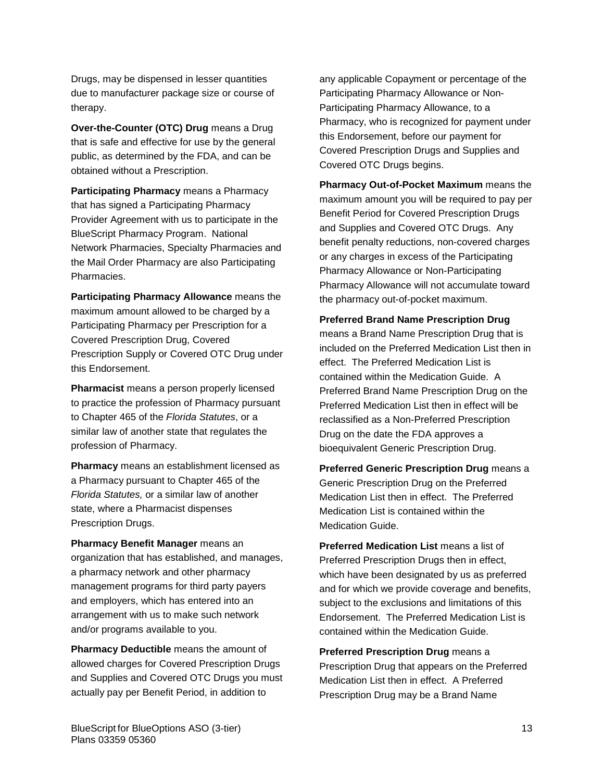Drugs, may be dispensed in lesser quantities due to manufacturer package size or course of therapy.

**Over-the-Counter (OTC) Drug** means a Drug that is safe and effective for use by the general public, as determined by the FDA, and can be obtained without a Prescription.

**Participating Pharmacy** means a Pharmacy that has signed a Participating Pharmacy Provider Agreement with us to participate in the BlueScript Pharmacy Program. National Network Pharmacies, Specialty Pharmacies and the Mail Order Pharmacy are also Participating Pharmacies.

**Participating Pharmacy Allowance** means the maximum amount allowed to be charged by a Participating Pharmacy per Prescription for a Covered Prescription Drug, Covered Prescription Supply or Covered OTC Drug under this Endorsement.

**Pharmacist** means a person properly licensed to practice the profession of Pharmacy pursuant to Chapter 465 of the *Florida Statutes*, or a similar law of another state that regulates the profession of Pharmacy.

**Pharmacy** means an establishment licensed as a Pharmacy pursuant to Chapter 465 of the *Florida Statutes,* or a similar law of another state, where a Pharmacist dispenses Prescription Drugs.

**Pharmacy Benefit Manager** means an organization that has established, and manages, a pharmacy network and other pharmacy management programs for third party payers and employers, which has entered into an arrangement with us to make such network and/or programs available to you.

**Pharmacy Deductible** means the amount of allowed charges for Covered Prescription Drugs and Supplies and Covered OTC Drugs you must actually pay per Benefit Period, in addition to

any applicable Copayment or percentage of the Participating Pharmacy Allowance or Non-Participating Pharmacy Allowance, to a Pharmacy, who is recognized for payment under this Endorsement, before our payment for Covered Prescription Drugs and Supplies and Covered OTC Drugs begins.

**Pharmacy Out-of-Pocket Maximum** means the maximum amount you will be required to pay per Benefit Period for Covered Prescription Drugs and Supplies and Covered OTC Drugs. Any benefit penalty reductions, non-covered charges or any charges in excess of the Participating Pharmacy Allowance or Non-Participating Pharmacy Allowance will not accumulate toward the pharmacy out-of-pocket maximum.

#### **Preferred Brand Name Prescription Drug**

means a Brand Name Prescription Drug that is included on the Preferred Medication List then in effect. The Preferred Medication List is contained within the Medication Guide. A Preferred Brand Name Prescription Drug on the Preferred Medication List then in effect will be reclassified as a Non-Preferred Prescription Drug on the date the FDA approves a bioequivalent Generic Prescription Drug.

**Preferred Generic Prescription Drug** means a Generic Prescription Drug on the Preferred Medication List then in effect. The Preferred Medication List is contained within the Medication Guide.

**Preferred Medication List** means a list of Preferred Prescription Drugs then in effect, which have been designated by us as preferred and for which we provide coverage and benefits, subject to the exclusions and limitations of this Endorsement. The Preferred Medication List is contained within the Medication Guide.

**Preferred Prescription Drug** means a Prescription Drug that appears on the Preferred Medication List then in effect. A Preferred Prescription Drug may be a Brand Name